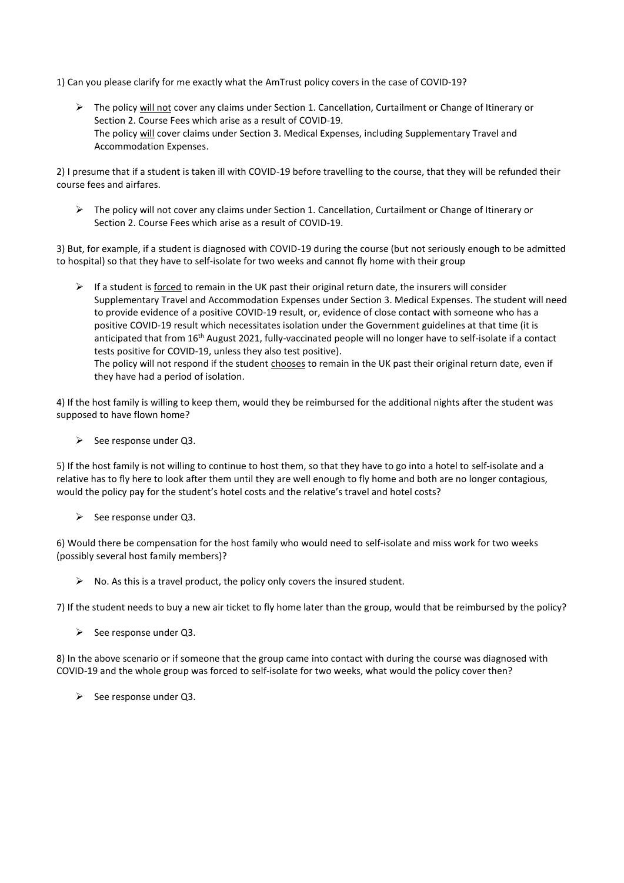1) Can you please clarify for me exactly what the AmTrust policy covers in the case of COVID-19?

▶ The policy will not cover any claims under Section 1. Cancellation, Curtailment or Change of Itinerary or Section 2. Course Fees which arise as a result of COVID-19. The policy will cover claims under Section 3. Medical Expenses, including Supplementary Travel and Accommodation Expenses.

2) I presume that if a student is taken ill with COVID-19 before travelling to the course, that they will be refunded their course fees and airfares.

 $\triangleright$  The policy will not cover any claims under Section 1. Cancellation, Curtailment or Change of Itinerary or Section 2. Course Fees which arise as a result of COVID-19.

3) But, for example, if a student is diagnosed with COVID-19 during the course (but not seriously enough to be admitted to hospital) so that they have to self-isolate for two weeks and cannot fly home with their group

 $\triangleright$  If a student is <u>forced</u> to remain in the UK past their original return date, the insurers will consider Supplementary Travel and Accommodation Expenses under Section 3. Medical Expenses. The student will need to provide evidence of a positive COVID-19 result, or, evidence of close contact with someone who has a positive COVID-19 result which necessitates isolation under the Government guidelines at that time (it is anticipated that from 16th August 2021, fully-vaccinated people will no longer have to self-isolate if a contact tests positive for COVID-19, unless they also test positive). The policy will not respond if the student chooses to remain in the UK past their original return date, even if they have had a period of isolation.

4) If the host family is willing to keep them, would they be reimbursed for the additional nights after the student was supposed to have flown home?

 $\triangleright$  See response under Q3.

5) If the host family is not willing to continue to host them, so that they have to go into a hotel to self-isolate and a relative has to fly here to look after them until they are well enough to fly home and both are no longer contagious, would the policy pay for the student's hotel costs and the relative's travel and hotel costs?

 $\triangleright$  See response under Q3.

6) Would there be compensation for the host family who would need to self-isolate and miss work for two weeks (possibly several host family members)?

 $\triangleright$  No. As this is a travel product, the policy only covers the insured student.

7) If the student needs to buy a new air ticket to fly home later than the group, would that be reimbursed by the policy?

 $\triangleright$  See response under Q3.

8) In the above scenario or if someone that the group came into contact with during the course was diagnosed with COVID-19 and the whole group was forced to self-isolate for two weeks, what would the policy cover then?

 $\triangleright$  See response under Q3.